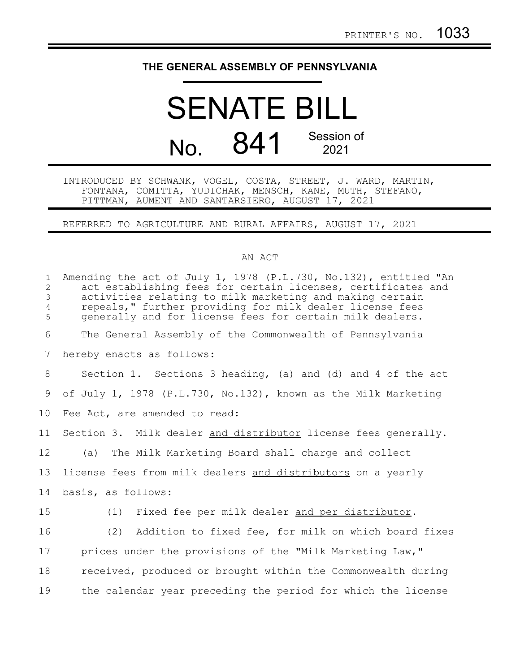## **THE GENERAL ASSEMBLY OF PENNSYLVANIA**

## SENATE BILL No. 841 Session of 2021

INTRODUCED BY SCHWANK, VOGEL, COSTA, STREET, J. WARD, MARTIN, FONTANA, COMITTA, YUDICHAK, MENSCH, KANE, MUTH, STEFANO, PITTMAN, AUMENT AND SANTARSIERO, AUGUST 17, 2021

REFERRED TO AGRICULTURE AND RURAL AFFAIRS, AUGUST 17, 2021

## AN ACT

| $\mathbf{1}$<br>$\overline{2}$<br>3<br>$\overline{4}$<br>5 | Amending the act of July 1, 1978 (P.L.730, No.132), entitled "An<br>act establishing fees for certain licenses, certificates and<br>activities relating to milk marketing and making certain<br>repeals," further providing for milk dealer license fees<br>generally and for license fees for certain milk dealers. |
|------------------------------------------------------------|----------------------------------------------------------------------------------------------------------------------------------------------------------------------------------------------------------------------------------------------------------------------------------------------------------------------|
| 6                                                          | The General Assembly of the Commonwealth of Pennsylvania                                                                                                                                                                                                                                                             |
| 7                                                          | hereby enacts as follows:                                                                                                                                                                                                                                                                                            |
| 8                                                          | Section 1. Sections 3 heading, (a) and (d) and 4 of the act                                                                                                                                                                                                                                                          |
| 9                                                          | of July 1, 1978 (P.L.730, No.132), known as the Milk Marketing                                                                                                                                                                                                                                                       |
| 10                                                         | Fee Act, are amended to read:                                                                                                                                                                                                                                                                                        |
| 11                                                         | Section 3. Milk dealer and distributor license fees generally.                                                                                                                                                                                                                                                       |
| 12                                                         | (a) The Milk Marketing Board shall charge and collect                                                                                                                                                                                                                                                                |
| 13                                                         | license fees from milk dealers and distributors on a yearly                                                                                                                                                                                                                                                          |
| 14                                                         | basis, as follows:                                                                                                                                                                                                                                                                                                   |
| 15                                                         | Fixed fee per milk dealer and per distributor.<br>(1)                                                                                                                                                                                                                                                                |
| 16                                                         | (2) Addition to fixed fee, for milk on which board fixes                                                                                                                                                                                                                                                             |
| 17                                                         | prices under the provisions of the "Milk Marketing Law,"                                                                                                                                                                                                                                                             |
| 18                                                         | received, produced or brought within the Commonwealth during                                                                                                                                                                                                                                                         |
| 19                                                         | the calendar year preceding the period for which the license                                                                                                                                                                                                                                                         |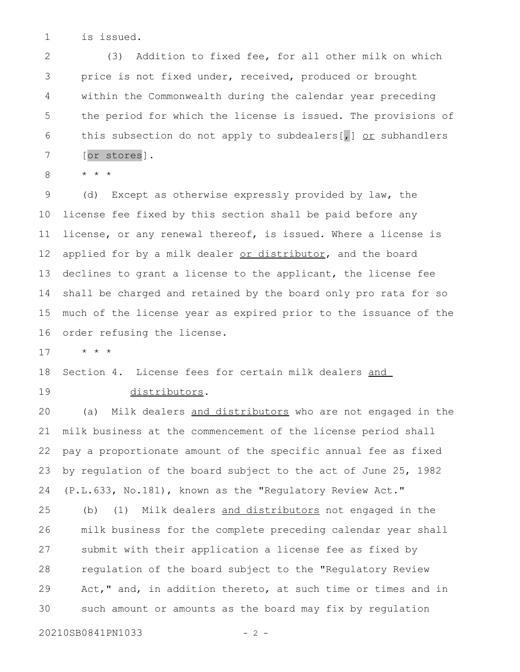is issued. 1

(3) Addition to fixed fee, for all other milk on which price is not fixed under, received, produced or brought within the Commonwealth during the calendar year preceding the period for which the license is issued. The provisions of this subsection do not apply to subdealers  $\lceil$ ,  $\rfloor$  or subhandlers [or stores]. 2 3 4 5 6 7

\* \* \* 8

(d) Except as otherwise expressly provided by law, the license fee fixed by this section shall be paid before any license, or any renewal thereof, is issued. Where a license is applied for by a milk dealer or distributor, and the board declines to grant a license to the applicant, the license fee shall be charged and retained by the board only pro rata for so much of the license year as expired prior to the issuance of the order refusing the license. 9 10 11 12 13 14 15 16

\* \* \* 17

Section 4. License fees for certain milk dealers and 18

19

distributors.

(a) Milk dealers and distributors who are not engaged in the milk business at the commencement of the license period shall pay a proportionate amount of the specific annual fee as fixed by regulation of the board subject to the act of June 25, 1982 (P.L.633, No.181), known as the "Regulatory Review Act." 20 21 22 23 24

(b) (1) Milk dealers and distributors not engaged in the milk business for the complete preceding calendar year shall submit with their application a license fee as fixed by regulation of the board subject to the "Regulatory Review Act," and, in addition thereto, at such time or times and in such amount or amounts as the board may fix by regulation 25 26 27 28 29 30

20210SB0841PN1033 - 2 -